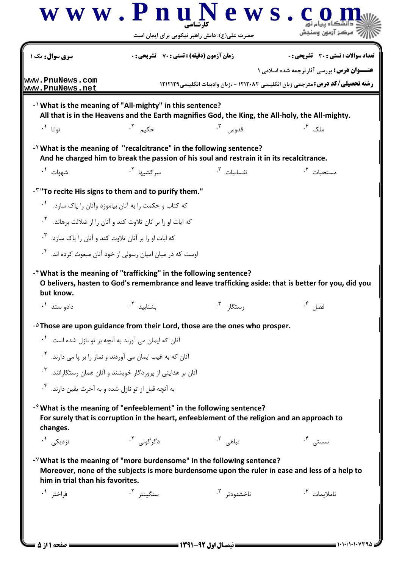**[w w w . P n u N e w s . c o m](http://www.PnuNews.com)** كارشناسي الآرآ مركز آزمون وسنجش حضرت علي(ع): دانش راهبر نيكويي براي ايمان است تعداد سوالات : تستي تشريحي زمان آزمون (دقيقه) : تستي تشريحي سري سوال ) \* ,: -,: , +,: : : **عنـــوان درس:** بررسی آثارترجمه شده اسلامی ۱ **[www.PnuNews.com](http://pnunews.com) رشته تحصیلی/کد درس: م**ترجمی زبان انگلیسی ۱۲۱۲۰۸۲ - ،زبان وادبیات انگلیسی۱۲۱۲۱۲۹ **[www.PnuNews.net](http://pnunews.net)**- NVhat is the meaning of "All-mighty" in this sentence? All that is in the Heavens and the Earth magnifies God, the King, the All-holy, the All-mighty.  .١ .٢ .٣ . تمانا ` حکيم ۲. -<sup>Y</sup> What is the meaning of "recalcitrance" in the following sentence? And he charged him to break the passion of his soul and restrain it in its recalcitrance. -.١ .٢ .٣ . سر کشیها <sup>۲</sup>۰ سر می استفاده است.<br>مسر کشیها <sup>۲</sup>۰ سر می استفاده است. مستحىات ۰<sup>۴</sup>  $-$ <sup> $\check{r}$ </sup> "To recite His signs to them and to purify them." که کتاب و حکمت را به آنان بیاموزد وآنان را پاک سازد. <sup>۱</sup>۰ که ایات او را بر انان تلاوت کند و آنان را از ضلالت برهاند. <sup>۲</sup>۰ که ابات او را بر آنان تلاوت کند و آنان را پاک سازد. <sup>۳</sup>۰ اوست که در میان امیان رسولی از خود آنان مبعوث کرده اند. <sup>۴</sup>۰ -<sup> $e$ </sup> What is the meaning of "trafficking" in the following sentence? O belivers, hasten to God's remembrance and leave trafficking aside: that is better for you, did you but know.  %% "6" 789 .١ .٢ .٣ .  $-$ <sup> $\triangle$ </sup>Those are upon guidance from their Lord, those are the ones who prosper. .<br>آنان که ایمان می آورند به آنچه بر تو نازل شده است. <sup>۱</sup>۰ .<br>آنان که به غیب ایمان می آوردند و نماز را بر پا می دارند. <sup>۲</sup> .<br>آنان بر هدایتی از پروردگار خویشند و آنان همان رستگارانند. <sup>۳</sup>۰ به آنچه قبل از تو نازل شده و به آخرت یقین دارند. <sup>۴</sup>۰  $-$ <sup> $\hat{\tau}$ </sup> What is the meaning of "enfeeblement" in the following sentence? For surely that is corruption in the heart, enfeeblement of the religion and an approach to changes. 5-.١ .٢ .٣ . سستی <sup>۴</sup>۰ تباهی <sup>۳</sup>۰ نزدیکے '۰ - V What is the meaning of "more burdensome" in the following sentence? Moreover, none of the subjects is more burdensome upon the ruler in ease and less of a help to him in trial than his favorites. 49 /6/ /4-.١ .٢ .٣ . ناملايمات <sup>۲</sup>۰ ,-+79(,(,/(,( نيمسال اول 1391-92 صفحه 1 از 5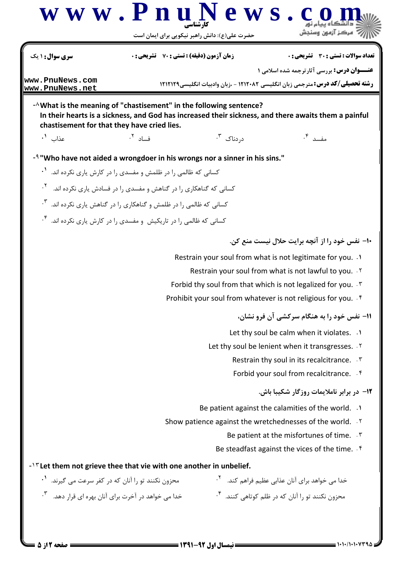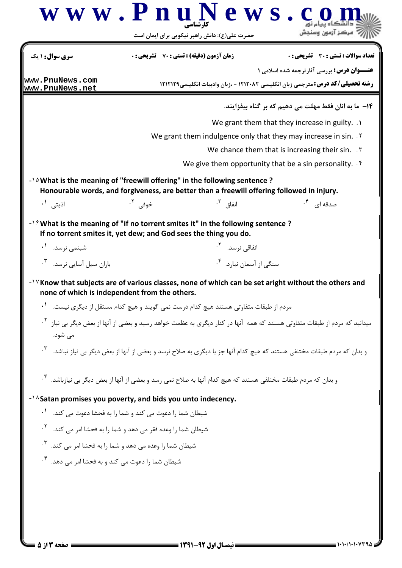| سری سوال: ۱ یک                                                                          |                                                           | <b>زمان آزمون (دقیقه) : تستی : 70 ٪ تشریحی : 0</b>                                                                                                                                     | <b>تعداد سوالات : تستي : 30 ٪ تشريحي : 0</b>                                                                                           |
|-----------------------------------------------------------------------------------------|-----------------------------------------------------------|----------------------------------------------------------------------------------------------------------------------------------------------------------------------------------------|----------------------------------------------------------------------------------------------------------------------------------------|
|                                                                                         |                                                           |                                                                                                                                                                                        | <b>عنــوان درس:</b> بررسي آثارترجمه شده اسلامي 1                                                                                       |
| www.PnuNews.com<br>www.PnuNews.net                                                      |                                                           |                                                                                                                                                                                        | <b>رشته تحصیلی/کد درس:</b> مترجمی زبان انگلیسی ۱۲۱۲۰۸۲ - ،زبان وادبیات انگلیسی۱۲۱۲۱۲۹                                                  |
|                                                                                         |                                                           |                                                                                                                                                                                        | 1۴–  ما به انان فقط مهلت می دهیم که بر گناه بیفزایند.                                                                                  |
|                                                                                         |                                                           |                                                                                                                                                                                        | We grant them that they increase in guilty. .                                                                                          |
|                                                                                         |                                                           |                                                                                                                                                                                        | We grant them indulgence only that they may increase in sin. Y                                                                         |
|                                                                                         |                                                           |                                                                                                                                                                                        | We chance them that is increasing their sin. $\mathcal{F}$                                                                             |
|                                                                                         |                                                           |                                                                                                                                                                                        | We give them opportunity that be a sin personality. $\mathfrak{f}$                                                                     |
|                                                                                         |                                                           | $\cdot$ $\lambda$ What is the meaning of "freewill offering" in the following sentence ?<br>Honourable words, and forgiveness, are better than a freewill offering followed in injury. |                                                                                                                                        |
| اذيتى <b>'</b> .                                                                        | خوفي <sup>٢</sup> ٠                                       | انفاق <sup>۲</sup> ۰                                                                                                                                                                   | صدقه ای <sup>۴</sup> ۰                                                                                                                 |
|                                                                                         |                                                           | $-1$ $\gamma$ What is the meaning of "if no torrent smites it" in the following sentence?                                                                                              |                                                                                                                                        |
| If no torrent smites it, yet dew; and God sees the thing you do.                        |                                                           |                                                                                                                                                                                        |                                                                                                                                        |
| شبنمى نرسد. ``                                                                          |                                                           | انفاقی نرسد. <sup>۲</sup> ۰                                                                                                                                                            |                                                                                                                                        |
| باران سیل آسایی نرسد. ۳.                                                                |                                                           | سنگی از آسمان نبارد. <sup>۴</sup> ۰                                                                                                                                                    |                                                                                                                                        |
| none of which is independent from the others.                                           |                                                           |                                                                                                                                                                                        | -1Y Know that subjects are of various classes, none of which can be set aright without the others and                                  |
|                                                                                         |                                                           | مردم از طبقات متفاوتی هستند هیچ کدام درست نمی گویند و هیچ کدام مستقل از دیگری نیست. <sup>۱</sup> ۰                                                                                     | میدانید که مردم از طبقات متفاوتی هستند که همه  آنها در کنار دیگری به عظمت خواهد رسید و بعضی از آنها از بعض دیگر بی نیاز <sup>۲</sup> ۰ |
| می شود.<br>$\cdot^{\mathsf{r}}$                                                         |                                                           |                                                                                                                                                                                        | و بدان که مردم طبقات مختلفی هستند که هیچ کدام آنها جز با دیگری به صلاح نرسد و بعضی از آنها از بعض دیگر بی نیاز نباشد.                  |
|                                                                                         |                                                           | و بدان که مردم طبقات مختلفی هستند که هیچ کدام آنها به صلاح نمی رسد و بعضی از آنها از بعض دیگر بی نیازباشد. <sup>۴</sup> ۰                                                              |                                                                                                                                        |
|                                                                                         |                                                           |                                                                                                                                                                                        |                                                                                                                                        |
| $\cdot$                                                                                 | شیطان شما را دعوت می کند و شما را به فحشا دعوت می کند.    |                                                                                                                                                                                        |                                                                                                                                        |
| $\mathcal{F}_4$                                                                         | شیطان شما را وعده فقر می دهد و شما را به فحشا امر می کند. |                                                                                                                                                                                        |                                                                                                                                        |
| $-1/6$ Satan promises you poverty, and bids you unto indecency.<br>$\cdot^{\mathsf{r}}$ | شیطان شما را وعده می دهد و شما را به فحشا امر می کند.     |                                                                                                                                                                                        |                                                                                                                                        |
| $\cdot^{\mathsf{r}}$                                                                    | شیطان شما را دعوت می کند و به فحشا امر می دهد.            |                                                                                                                                                                                        |                                                                                                                                        |
|                                                                                         |                                                           |                                                                                                                                                                                        |                                                                                                                                        |
|                                                                                         |                                                           |                                                                                                                                                                                        |                                                                                                                                        |
|                                                                                         |                                                           |                                                                                                                                                                                        |                                                                                                                                        |
|                                                                                         |                                                           |                                                                                                                                                                                        |                                                                                                                                        |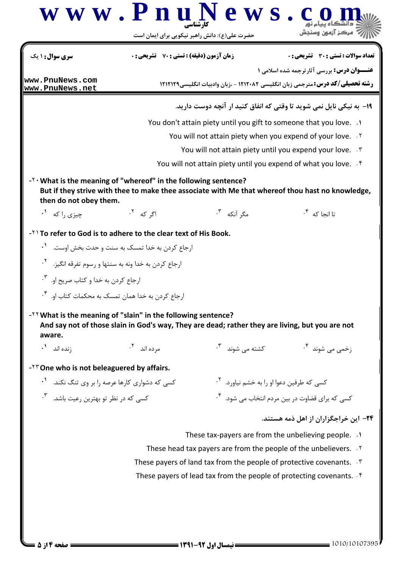## **[w w w . P n u N e w s . c o m](http://www.PnuNews.com)** كارشناسي الآرآه مركز آزمون وسنجش حضرت علي(ع): دانش راهبر نيكويي براي ايمان است تعداد سوالات : تستي تشريحي زمان آزمون (دقيقه) : تستي تشريحي سري سوال \* ) ,: -,: , +,: : : **عنـــوان درس:** بررسی آثارترجمه شده اسلامی ۱ **[www.PnuNews.com](http://pnunews.com) رشته تحصیلی/کد درس: م**ترجمی زبان انگلیسی ۱۲۱۲۰۸۲ - ،زبان وادبیات انگلیسی۱۲۱۲۱۲۹ **[www.PnuNews.net](http://pnunews.net)**۱۹- به نیکی نایل نمی شوید تا وقتی که انفاق کنید ار آنچه دوست دارید. You don't attain piety until you gift to someone that you love. ) . You will not attain piety when you expend of your love. Y You will not attain piety until you expend your love. `\* You will not attain piety until you expend of what you love. f -<sup>Y</sup> · What is the meaning of "whereof" in the following sentence? But if they strive with thee to make thee associate with Me that whereof thou hast no knowledge, then do not obey them. & " DAW & > & - $\cdot$ ". مگر آنکه نا انجا که <sup>۱</sup>۰ مگر آن  $-Y$ ) To refer to God is to adhere to the clear text of His Book. ارجاع کردن به خدا تمسک به سنت و حدت بخش اوست. <sup>۱</sup>۰ ارجاع كردن به خدا ونه به سنتها و رسوم تفرقه انگيز.  $^{\mathsf{Y}}$ . ارجاع كردن به خدا و كتاب صريح او. <sup>۳</sup>. رجاع کردن به خدا همان تمسک به محکمات کتاب او. <sup>۴</sup>۰ -<sup>YY</sup> What is the meaning of "slain" in the following sentence? And say not of those slain in God's way, They are dead; rather they are living, but you are not aware. 1 
- 5 & - 5 5(4 .١ .٢ .٣ . مرده اند <sup>۲</sup>۰ نده اند  $-<sup>TT</sup>$  One who is not beleaguered by affairs. نیاورد. <sup>۲</sup>۰ .<br>نیاورد. <sup>۲</sup>۰ . کسے که طرفین دعوا او را به خشم نیاورد. <sup>۲</sup>۰ .
% 'C" ?0% K-.٣ . کسی که برای قضاوت در بین مردم انتخاب می شود. <sup>۲</sup>۰ مسی که در ۱ ۲۴– این خراجگزاران از اهل ذمه هستند. These tax-payers are from the unbelieving people. ) . These head tax payers are from the people of the unbelievers.  $\cdot$ <sup>Y</sup> These payers of land tax from the people of protective covenants. . \ These payers of lead tax from the people of protecting covenants.  $\cdot$ <sup>6</sup>